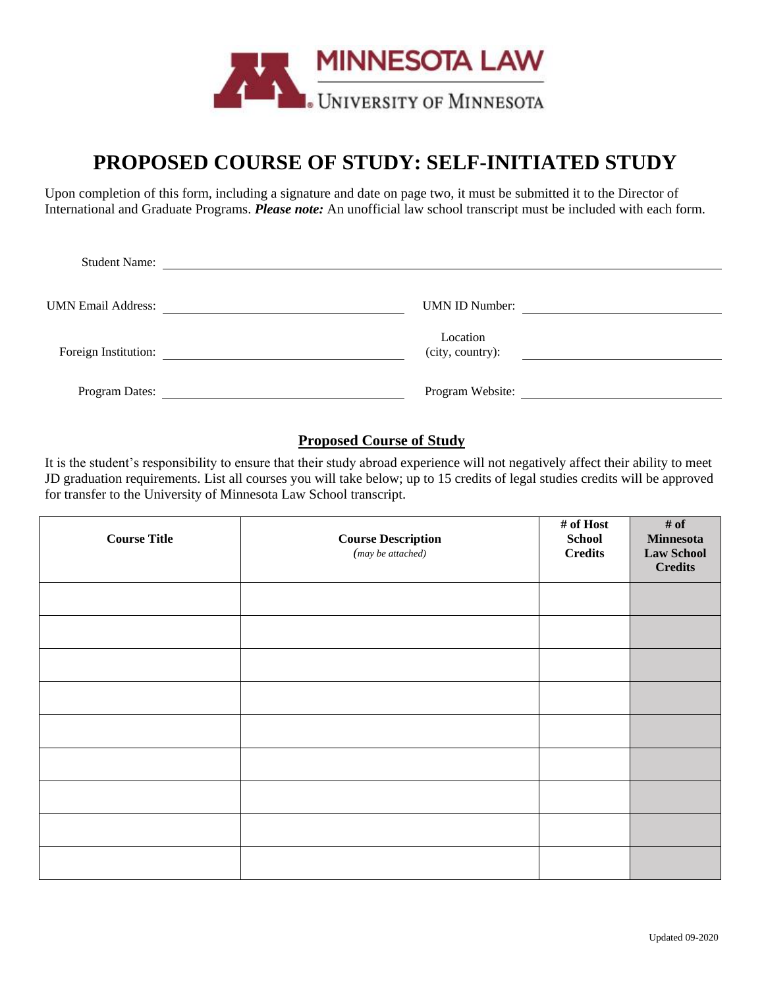

# **PROPOSED COURSE OF STUDY: SELF-INITIATED STUDY**

Upon completion of this form, including a signature and date on page two, it must be submitted it to the Director of International and Graduate Programs. *Please note:* An unofficial law school transcript must be included with each form.

| <b>Student Name:</b>      |                              |
|---------------------------|------------------------------|
| <b>UMN Email Address:</b> | <b>UMN ID Number:</b>        |
| Foreign Institution:      | Location<br>(city, country): |
| Program Dates:            | Program Website:             |

### **Proposed Course of Study**

It is the student's responsibility to ensure that their study abroad experience will not negatively affect their ability to meet JD graduation requirements. List all courses you will take below; up to 15 credits of legal studies credits will be approved for transfer to the University of Minnesota Law School transcript.

| <b>Course Title</b> | <b>Course Description</b><br>$(may \, be \, attached)$ | # of Host<br><b>School</b><br><b>Credits</b> | # of<br><b>Minnesota</b><br><b>Law School</b><br><b>Credits</b> |
|---------------------|--------------------------------------------------------|----------------------------------------------|-----------------------------------------------------------------|
|                     |                                                        |                                              |                                                                 |
|                     |                                                        |                                              |                                                                 |
|                     |                                                        |                                              |                                                                 |
|                     |                                                        |                                              |                                                                 |
|                     |                                                        |                                              |                                                                 |
|                     |                                                        |                                              |                                                                 |
|                     |                                                        |                                              |                                                                 |
|                     |                                                        |                                              |                                                                 |
|                     |                                                        |                                              |                                                                 |